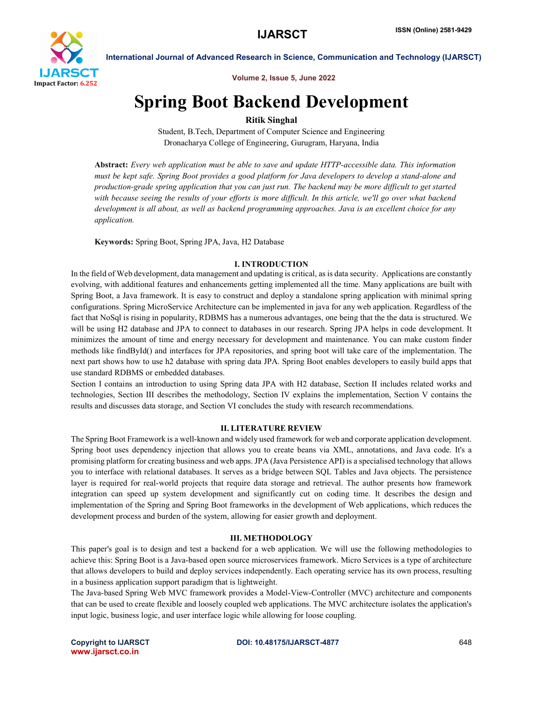

Volume 2, Issue 5, June 2022

# Spring Boot Backend Development

# Ritik Singhal

Student, B.Tech, Department of Computer Science and Engineering Dronacharya College of Engineering, Gurugram, Haryana, India

Abstract: *Every web application must be able to save and update HTTP-accessible data. This information must be kept safe. Spring Boot provides a good platform for Java developers to develop a stand-alone and production-grade spring application that you can just run. The backend may be more difficult to get started*  with because seeing the results of your efforts is more difficult. In this article, we'll go over what backend *development is all about, as well as backend programming approaches. Java is an excellent choice for any application.*

Keywords: Spring Boot, Spring JPA, Java, H2 Database

### I. INTRODUCTION

In the field of Web development, data management and updating is critical, as is data security. Applications are constantly evolving, with additional features and enhancements getting implemented all the time. Many applications are built with Spring Boot, a Java framework. It is easy to construct and deploy a standalone spring application with minimal spring configurations. Spring MicroService Architecture can be implemented in java for any web application. Regardless of the fact that NoSql is rising in popularity, RDBMS has a numerous advantages, one being that the the data is structured. We will be using H2 database and JPA to connect to databases in our research. Spring JPA helps in code development. It minimizes the amount of time and energy necessary for development and maintenance. You can make custom finder methods like findById() and interfaces for JPA repositories, and spring boot will take care of the implementation. The next part shows how to use h2 database with spring data JPA. Spring Boot enables developers to easily build apps that use standard RDBMS or embedded databases.

Section I contains an introduction to using Spring data JPA with H2 database, Section II includes related works and technologies, Section III describes the methodology, Section IV explains the implementation, Section V contains the results and discusses data storage, and Section VI concludes the study with research recommendations.

### II. LITERATURE REVIEW

The Spring Boot Framework is a well-known and widely used framework for web and corporate application development. Spring boot uses dependency injection that allows you to create beans via XML, annotations, and Java code. It's a promising platform for creating business and web apps. JPA (Java Persistence API) is a specialised technology that allows you to interface with relational databases. It serves as a bridge between SQL Tables and Java objects. The persistence layer is required for real-world projects that require data storage and retrieval. The author presents how framework integration can speed up system development and significantly cut on coding time. It describes the design and implementation of the Spring and Spring Boot frameworks in the development of Web applications, which reduces the development process and burden of the system, allowing for easier growth and deployment.

# III. METHODOLOGY

This paper's goal is to design and test a backend for a web application. We will use the following methodologies to achieve this: Spring Boot is a Java-based open source microservices framework. Micro Services is a type of architecture that allows developers to build and deploy services independently. Each operating service has its own process, resulting in a business application support paradigm that is lightweight.

The Java-based Spring Web MVC framework provides a Model-View-Controller (MVC) architecture and components that can be used to create flexible and loosely coupled web applications. The MVC architecture isolates the application's input logic, business logic, and user interface logic while allowing for loose coupling.

www.ijarsct.co.in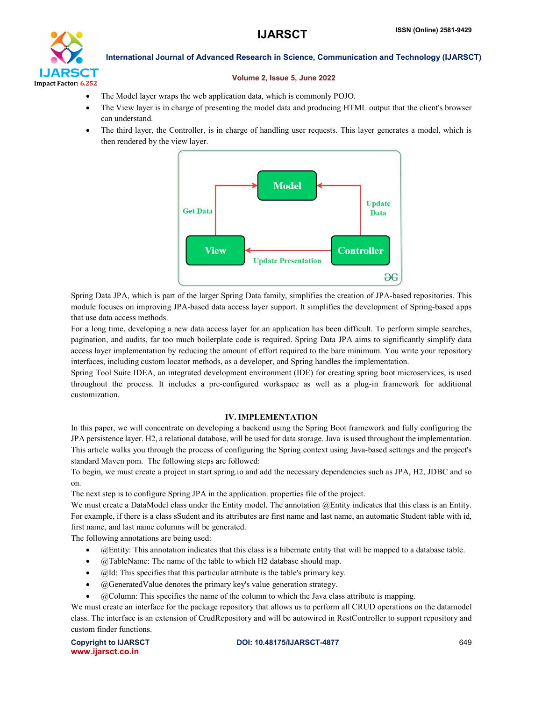

### Volume 2, Issue 5, June 2022

- The Model layer wraps the web application data, which is commonly POJO.
- The View layer is in charge of presenting the model data and producing HTML output that the client's browser can understand.
- The third layer, the Controller, is in charge of handling user requests. This layer generates a model, which is then rendered by the view layer.



Spring Data JPA, which is part of the larger Spring Data family, simplifies the creation of JPA-based repositories. This module focuses on improving JPA-based data access layer support. It simplifies the development of Spring-based apps that use data access methods.

For a long time, developing a new data access layer for an application has been difficult. To perform simple searches, pagination, and audits, far too much boilerplate code is required. Spring Data JPA aims to significantly simplify data access layer implementation by reducing the amount of effort required to the bare minimum. You write your repository interfaces, including custom locator methods, as a developer, and Spring handles the implementation.

Spring Tool Suite IDEA, an integrated development environment (IDE) for creating spring boot microservices, is used throughout the process. It includes a pre-configured workspace as well as a plug-in framework for additional customization.

### IV. IMPLEMENTATION

In this paper, we will concentrate on developing a backend using the Spring Boot framework and fully configuring the JPA persistence layer. H2, a relational database, will be used for data storage. Java is used throughout the implementation. This article walks you through the process of configuring the Spring context using Java-based settings and the project's standard Maven pom. The following steps are followed:

To begin, we must create a project in start.spring.io and add the necessary dependencies such as JPA, H2, JDBC and so on.

The next step is to configure Spring JPA in the application. properties file of the project.

We must create a DataModel class under the Entity model. The annotation  $@$ Entity indicates that this class is an Entity. For example, if there is a class sSudent and its attributes are first name and last name, an automatic Student table with id, first name, and last name columns will be generated.

The following annotations are being used:

- @Entity: This annotation indicates that this class is a hibernate entity that will be mapped to a database table.
- @TableName: The name of the table to which H2 database should map.
- $\bullet$   $\alpha$  [d: This specifies that this particular attribute is the table's primary key.
- @GeneratedValue denotes the primary key's value generation strategy.
- @Column: This specifies the name of the column to which the Java class attribute is mapping.

We must create an interface for the package repository that allows us to perform all CRUD operations on the datamodel class. The interface is an extension of CrudRepository and will be autowired in RestController to support repository and custom finder functions.

```
www.ijarsct.co.in
```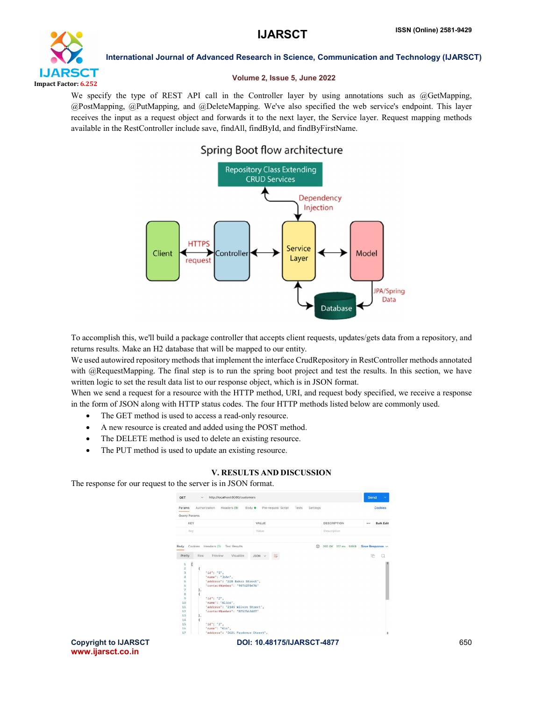

### Volume 2, Issue 5, June 2022

We specify the type of REST API call in the Controller layer by using annotations such as @GetMapping, @PostMapping, @PutMapping, and @DeleteMapping. We've also specified the web service's endpoint. This layer receives the input as a request object and forwards it to the next layer, the Service layer. Request mapping methods available in the RestController include save, findAll, findById, and findByFirstName.

# Spring Boot flow architecture



To accomplish this, we'll build a package controller that accepts client requests, updates/gets data from a repository, and returns results. Make an H2 database that will be mapped to our entity.

We used autowired repository methods that implement the interface CrudRepository in RestController methods annotated with @RequestMapping. The final step is to run the spring boot project and test the results. In this section, we have written logic to set the result data list to our response object, which is in JSON format.

When we send a request for a resource with the HTTP method, URI, and request body specified, we receive a response in the form of JSON along with HTTP status codes. The four HTTP methods listed below are commonly used.

- The GET method is used to access a read-only resource.
- A new resource is created and added using the POST method.
- The DELETE method is used to delete an existing resource.
- The PUT method is used to update an existing resource.

# V. RESULTS AND DISCUSSION

The response for our request to the server is in JSON format.